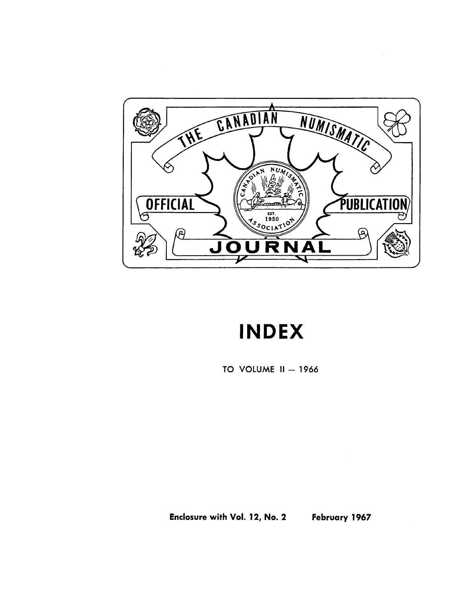

# **INDEX**

TO VOLUME  $II - 1966$ 

Enclosure with Vol. 12, No.2 February 1967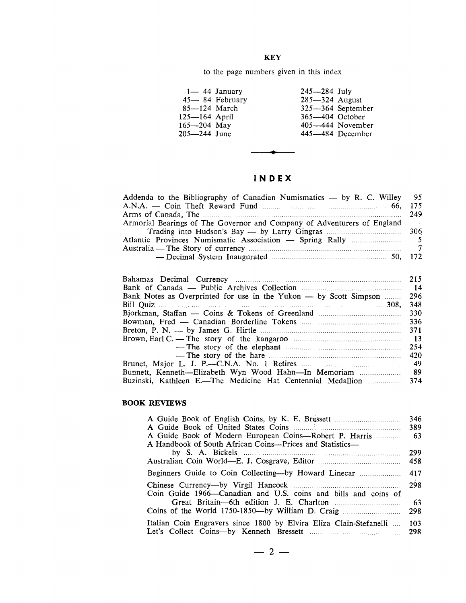#### **KEY**

to the page numbers given in this index

| 365-404 October<br>$125 - 164$ April<br>165—204 May<br>405–444 November |
|-------------------------------------------------------------------------|
| 205—244 June<br>445-484 December                                        |

#### IN **D EX**

**•**

| Addenda to the Bibliography of Canadian Numismatics — by R. C. Willey 95 |                 |
|--------------------------------------------------------------------------|-----------------|
|                                                                          |                 |
|                                                                          |                 |
| Armorial Bearings of The Governor and Company of Adventurers of England  | <b>Contract</b> |
|                                                                          |                 |
|                                                                          |                 |
|                                                                          |                 |
| - Decimal System Inaugurated <b>much contained</b> 50, 172               |                 |

| 215             |
|-----------------|
| $\overline{14}$ |
| 296             |
| 348             |
| 330             |
| 336             |
| 371             |
| $\overline{13}$ |
| 254             |
| 420             |
| 49              |
| - 89            |
| 374             |
|                 |

#### **BOOK REVIEWS**

|                                                                    | 346 |
|--------------------------------------------------------------------|-----|
|                                                                    | 389 |
| A Guide Book of Modern European Coins—Robert P. Harris             | -63 |
| A Handbook of South African Coins—Prices and Statistics—           |     |
|                                                                    | 299 |
|                                                                    | 458 |
| Beginners Guide to Coin Collecting-by Howard Linecar               | 417 |
|                                                                    | 298 |
| Coin Guide 1966—Canadian and U.S. coins and bills and coins of     |     |
|                                                                    | 63  |
|                                                                    | 298 |
| Italian Coin Engravers since 1800 by Elvira Eliza Clain-Stefanelli | 103 |
|                                                                    | 298 |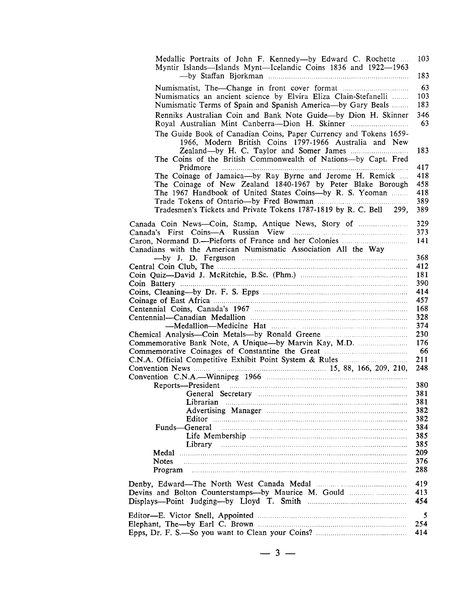| Numismatist, The—Change in front cover format<br>Numismatics an ancient science by Elvira Eliza Clain-Stefanelli<br>Numismatic Terms of Spain and Spanish America-by Gary Beals<br>Renniks Australian Coin and Bank Note Guide-by Dion H. Skinner<br>Royal Australian Mint Canberra-Dion H. Skinner<br>Pridmore<br>The Coinage of Jamaica—by Ray Byrne and Jerome H. Remick<br>The Coinage of New Zealand 1840-1967 by Peter Blake Borough<br>The 1967 Handbook of United States Coins-by R. S. Yeoman<br>Tradesmen's Tickets and Private Tokens 1787-1819 by R. C. Bell 299,<br>Canadians with the American Numismatic Association All the Way<br>Commemorative Bank Note, A Unique—by Marvin Kay, M.D.<br>Funds—General<br>Library<br><b>Notes</b><br>Program | Medallic Portraits of John F. Kennedy—by Edward C. Rochette<br>Myntir Islands—Islands Mynt—Icelandic Coins 1836 and 1922—1963                                                                 |
|-----------------------------------------------------------------------------------------------------------------------------------------------------------------------------------------------------------------------------------------------------------------------------------------------------------------------------------------------------------------------------------------------------------------------------------------------------------------------------------------------------------------------------------------------------------------------------------------------------------------------------------------------------------------------------------------------------------------------------------------------------------------|-----------------------------------------------------------------------------------------------------------------------------------------------------------------------------------------------|
|                                                                                                                                                                                                                                                                                                                                                                                                                                                                                                                                                                                                                                                                                                                                                                 |                                                                                                                                                                                               |
|                                                                                                                                                                                                                                                                                                                                                                                                                                                                                                                                                                                                                                                                                                                                                                 | The Guide Book of Canadian Coins, Paper Currency and Tokens 1659-<br>1966, Modern British Coins 1797-1966 Australia and New<br>The Coins of the British Commonwealth of Nations-by Capt. Fred |
|                                                                                                                                                                                                                                                                                                                                                                                                                                                                                                                                                                                                                                                                                                                                                                 |                                                                                                                                                                                               |
|                                                                                                                                                                                                                                                                                                                                                                                                                                                                                                                                                                                                                                                                                                                                                                 |                                                                                                                                                                                               |
|                                                                                                                                                                                                                                                                                                                                                                                                                                                                                                                                                                                                                                                                                                                                                                 |                                                                                                                                                                                               |
|                                                                                                                                                                                                                                                                                                                                                                                                                                                                                                                                                                                                                                                                                                                                                                 |                                                                                                                                                                                               |
|                                                                                                                                                                                                                                                                                                                                                                                                                                                                                                                                                                                                                                                                                                                                                                 |                                                                                                                                                                                               |
|                                                                                                                                                                                                                                                                                                                                                                                                                                                                                                                                                                                                                                                                                                                                                                 |                                                                                                                                                                                               |
|                                                                                                                                                                                                                                                                                                                                                                                                                                                                                                                                                                                                                                                                                                                                                                 |                                                                                                                                                                                               |
|                                                                                                                                                                                                                                                                                                                                                                                                                                                                                                                                                                                                                                                                                                                                                                 |                                                                                                                                                                                               |
|                                                                                                                                                                                                                                                                                                                                                                                                                                                                                                                                                                                                                                                                                                                                                                 |                                                                                                                                                                                               |
|                                                                                                                                                                                                                                                                                                                                                                                                                                                                                                                                                                                                                                                                                                                                                                 |                                                                                                                                                                                               |
|                                                                                                                                                                                                                                                                                                                                                                                                                                                                                                                                                                                                                                                                                                                                                                 |                                                                                                                                                                                               |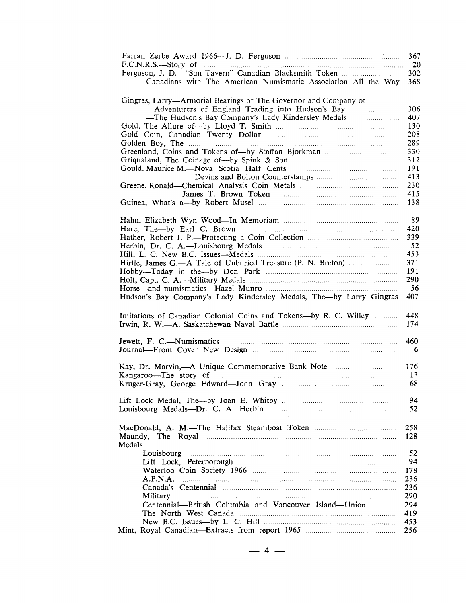| F.C.N.R.S.— Story of 1000<br>Ferguson, J. D.-"Sun Tavern" Canadian Blacksmith Token<br>Canadians with The American Numismatic Association All the Way                                                                          | 367<br>302<br>368 |
|--------------------------------------------------------------------------------------------------------------------------------------------------------------------------------------------------------------------------------|-------------------|
| Gingras, Larry—Armorial Bearings of The Governor and Company of<br>Adventurers of England Trading into Hudson's Bay                                                                                                            | 306               |
|                                                                                                                                                                                                                                | 407<br>130        |
|                                                                                                                                                                                                                                | 208               |
|                                                                                                                                                                                                                                | 289               |
|                                                                                                                                                                                                                                | 330               |
|                                                                                                                                                                                                                                | 312               |
|                                                                                                                                                                                                                                | 191               |
|                                                                                                                                                                                                                                | 413               |
|                                                                                                                                                                                                                                | 230               |
|                                                                                                                                                                                                                                | 415<br>138        |
|                                                                                                                                                                                                                                |                   |
|                                                                                                                                                                                                                                | 89                |
|                                                                                                                                                                                                                                | 420               |
|                                                                                                                                                                                                                                | 339               |
|                                                                                                                                                                                                                                | 52                |
|                                                                                                                                                                                                                                | 453               |
|                                                                                                                                                                                                                                | 371               |
|                                                                                                                                                                                                                                | 191               |
|                                                                                                                                                                                                                                | 290               |
| Hudson's Bay Company's Lady Kindersley Medals, The-by Larry Gingras                                                                                                                                                            | 56<br>407         |
|                                                                                                                                                                                                                                |                   |
| Imitations of Canadian Colonial Coins and Tokens-by R. C. Willey                                                                                                                                                               | 448<br>174        |
|                                                                                                                                                                                                                                |                   |
|                                                                                                                                                                                                                                | 460<br>6          |
|                                                                                                                                                                                                                                |                   |
| Kay, Dr. Marvin,—A Unique Commemorative Bank Note                                                                                                                                                                              | 176               |
| Kangaroo—The story of manufactured and contain and the story of manufactured and the story of manufactured and the story of manufactured and the story of manufactured and the story of manufactured and the story of manufact | 13                |
|                                                                                                                                                                                                                                | 68                |
|                                                                                                                                                                                                                                |                   |
|                                                                                                                                                                                                                                | 94                |
|                                                                                                                                                                                                                                | 52                |
|                                                                                                                                                                                                                                |                   |
|                                                                                                                                                                                                                                | 258<br>128        |
| Medals                                                                                                                                                                                                                         |                   |
|                                                                                                                                                                                                                                | 52                |
|                                                                                                                                                                                                                                | 94                |
|                                                                                                                                                                                                                                | 178               |
|                                                                                                                                                                                                                                | 236               |
|                                                                                                                                                                                                                                | 236               |
|                                                                                                                                                                                                                                | 290               |
| Centennial—British Columbia and Vancouver Island—Union                                                                                                                                                                         | 294               |
|                                                                                                                                                                                                                                | 419               |
|                                                                                                                                                                                                                                | 453               |
|                                                                                                                                                                                                                                | 256               |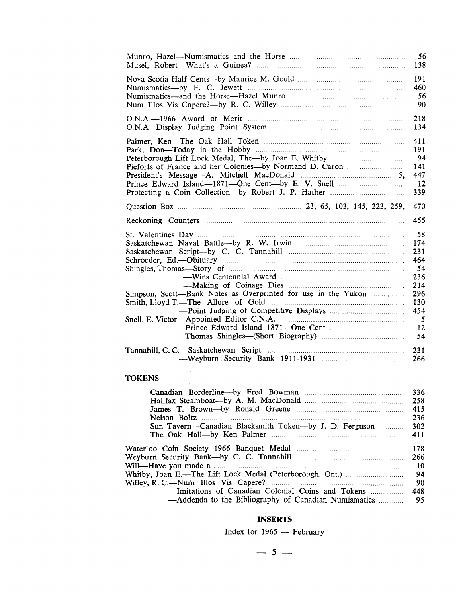|                                                                                                                                                                                                                                                                                                | 56                                                                                |
|------------------------------------------------------------------------------------------------------------------------------------------------------------------------------------------------------------------------------------------------------------------------------------------------|-----------------------------------------------------------------------------------|
|                                                                                                                                                                                                                                                                                                | 138                                                                               |
|                                                                                                                                                                                                                                                                                                | 191                                                                               |
|                                                                                                                                                                                                                                                                                                | 460                                                                               |
|                                                                                                                                                                                                                                                                                                | 56                                                                                |
|                                                                                                                                                                                                                                                                                                | 90                                                                                |
|                                                                                                                                                                                                                                                                                                | 218                                                                               |
|                                                                                                                                                                                                                                                                                                | 134                                                                               |
|                                                                                                                                                                                                                                                                                                | 411                                                                               |
|                                                                                                                                                                                                                                                                                                | 191                                                                               |
|                                                                                                                                                                                                                                                                                                | 94                                                                                |
|                                                                                                                                                                                                                                                                                                | 141                                                                               |
|                                                                                                                                                                                                                                                                                                | 447                                                                               |
|                                                                                                                                                                                                                                                                                                | $_{12}$                                                                           |
|                                                                                                                                                                                                                                                                                                | 339                                                                               |
|                                                                                                                                                                                                                                                                                                | 470                                                                               |
|                                                                                                                                                                                                                                                                                                |                                                                                   |
|                                                                                                                                                                                                                                                                                                | 455                                                                               |
| Shingles, Thomas—Story of manufactured and the state of the state of the state of the state of the state of the state of the state of the state of the state of the state of the state of the state of the state of the state<br>Simpson, Scott-Bank Notes as Overprinted for use in the Yukon | 58<br>174<br>231<br>464<br>54<br>236<br>214<br>296<br>130<br>454<br>5<br>12<br>54 |

### TOKENS

|                                                                                                           | 336<br>258 |
|-----------------------------------------------------------------------------------------------------------|------------|
|                                                                                                           | 415        |
|                                                                                                           | -236       |
| Sun Tavern-Canadian Blacksmith Token-by J. D. Ferguson                                                    | 302<br>411 |
|                                                                                                           | 178        |
|                                                                                                           | 266        |
|                                                                                                           | 10         |
|                                                                                                           | 94         |
|                                                                                                           | 90         |
| -Imitations of Canadian Colonial Coins and Tokens<br>-Addenda to the Bibliography of Canadian Numismatics | 448<br>95  |

#### **INSERTS**

Index for  $1965 -$  February

 $-5-$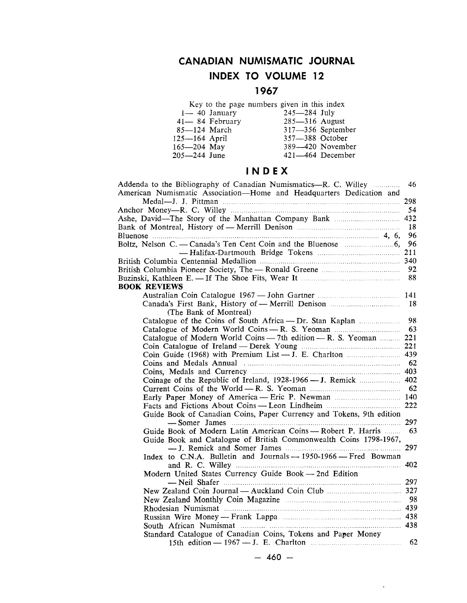## **CANADIAN NUMISMATIC JOURNAL INDEX TO VOLUME 12**

## **1967**

|                   | Key to the page numbers given in this index |                    |                   |
|-------------------|---------------------------------------------|--------------------|-------------------|
|                   | $1 - 40$ January                            | $245 - 284$ July   |                   |
|                   | 41-84 February                              | $285 - 316$ August |                   |
| $85 - 124$ March  |                                             |                    | 317-356 September |
| $125 - 164$ April |                                             | 357-388 October    |                   |
| $165 - 204$ May   |                                             |                    | 389-420 November  |
| 205—244 June      |                                             |                    | 421-464 December  |
|                   |                                             |                    |                   |

## IN 0 EX

| Addenda to the Bibliography of Canadian Numismatics—R. C. Willey <i>manument</i>                        | 46  |
|---------------------------------------------------------------------------------------------------------|-----|
| American Numismatic Association—Home and Headquarters Dedication and                                    |     |
|                                                                                                         |     |
|                                                                                                         | 54  |
|                                                                                                         |     |
|                                                                                                         | 18  |
| Bluenose $\ldots$ 4, 6,                                                                                 | 96  |
| Boltz, Nelson C. — Canada's Ten Cent Coin and the Bluenose manusculum 6,                                | 96  |
|                                                                                                         | 211 |
|                                                                                                         |     |
|                                                                                                         | 92  |
|                                                                                                         |     |
| <b>BOOK REVIEWS</b>                                                                                     |     |
|                                                                                                         |     |
|                                                                                                         | 18  |
| (The Bank of Montreal)                                                                                  |     |
| Catalogue of the Coins of South Africa - Dr. Stan Kaplan                                                | 98  |
| Catalogue of Modern World Coins - R. S. Yeoman                                                          | 63  |
| Catalogue of Modern World Coins - 7th edition - R. S. Yeoman  221                                       |     |
|                                                                                                         |     |
|                                                                                                         |     |
| Coins and Medals Annual manufactured coins and Medals Annual manufactured coins and Medals Annual media |     |
|                                                                                                         |     |
| Coinage of the Republic of Ireland, 1928-1966 — J. Remick  402                                          |     |
|                                                                                                         |     |
|                                                                                                         |     |
| Facts and Fictions About Coins — Leon Lindheim <b>Example 222</b> 222                                   |     |
| Guide Book of Canadian Coins, Paper Currency and Tokens, 9th edition                                    |     |
|                                                                                                         | 297 |
| Guide Book of Modern Latin American Coins - Robert P. Harris                                            | 63  |
| Guide Book and Catalogue of British Commonwealth Coins 1798-1967,                                       |     |
|                                                                                                         | 297 |
| Index to C.N.A. Bulletin and Journals - 1950-1966 - Fred Bowman                                         |     |
|                                                                                                         | 402 |
| Modern United States Currency Guide Book - 2nd Edition                                                  |     |
|                                                                                                         |     |
|                                                                                                         |     |
|                                                                                                         |     |
|                                                                                                         |     |
|                                                                                                         |     |
|                                                                                                         |     |
| Standard Catalogue of Canadian Coins, Tokens and Paper Money                                            |     |
|                                                                                                         | 62  |
|                                                                                                         |     |

 $\sim$   $\sim$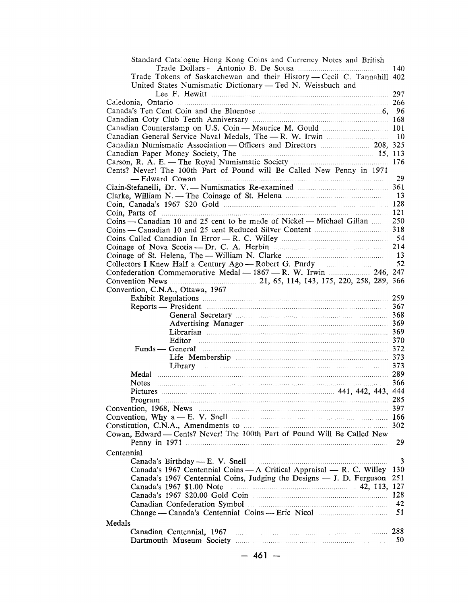| Standard Catalogue Hong Kong Coins and Currency Notes and British                                                                                            |          |
|--------------------------------------------------------------------------------------------------------------------------------------------------------------|----------|
|                                                                                                                                                              |          |
| Trade Tokens of Saskatchewan and their History - Cecil C. Tannahill 402                                                                                      |          |
| United States Numismatic Dictionary - Ted N. Weissbuch and                                                                                                   |          |
|                                                                                                                                                              |          |
|                                                                                                                                                              |          |
|                                                                                                                                                              |          |
|                                                                                                                                                              |          |
|                                                                                                                                                              |          |
|                                                                                                                                                              |          |
| Canadian Numismatic Association - Officers and Directors  208, 325                                                                                           |          |
|                                                                                                                                                              |          |
|                                                                                                                                                              |          |
| Cents? Never! The 100th Part of Pound will Be Called New Penny in 1971                                                                                       | 29       |
| Clain-Stefanelli, Dr. V. — Numismatics Re-examined <b>mumbers</b> 361                                                                                        |          |
|                                                                                                                                                              |          |
|                                                                                                                                                              |          |
|                                                                                                                                                              |          |
| Coins — Canadian 10 and 25 cent to be made of Nickel — Michael Gillan  250                                                                                   |          |
|                                                                                                                                                              |          |
|                                                                                                                                                              |          |
|                                                                                                                                                              |          |
|                                                                                                                                                              |          |
|                                                                                                                                                              |          |
| Confederation Commemorative Medal - 1867 - R. W. Irwin  246, 247                                                                                             |          |
|                                                                                                                                                              |          |
| Convention, C.N.A., Ottawa, 1967                                                                                                                             |          |
|                                                                                                                                                              |          |
|                                                                                                                                                              |          |
|                                                                                                                                                              |          |
|                                                                                                                                                              |          |
|                                                                                                                                                              |          |
| <b>Editor</b> 370                                                                                                                                            |          |
| Funds — General <b>European Communication</b> 372                                                                                                            |          |
|                                                                                                                                                              |          |
|                                                                                                                                                              |          |
|                                                                                                                                                              |          |
|                                                                                                                                                              |          |
|                                                                                                                                                              |          |
|                                                                                                                                                              |          |
|                                                                                                                                                              |          |
|                                                                                                                                                              |          |
|                                                                                                                                                              |          |
| Cowan, Edward - Cents? Never! The 100th Part of Pound Will Be Called New                                                                                     |          |
|                                                                                                                                                              | 29       |
|                                                                                                                                                              |          |
| Centennial                                                                                                                                                   |          |
| Canada's Birthday — E. V. Snell manufactured and the canada's Birthday — E. V. Snell<br>Canada's 1967 Centennial Coins - A Critical Appraisal - R. C. Willey | 3<br>130 |
|                                                                                                                                                              |          |
| Canada's 1967 Centennial Coins, Judging the Designs — J. D. Ferguson                                                                                         | 251      |
|                                                                                                                                                              |          |
|                                                                                                                                                              |          |
|                                                                                                                                                              | 42       |
|                                                                                                                                                              | 51       |
| Medals                                                                                                                                                       |          |
|                                                                                                                                                              |          |
|                                                                                                                                                              | 50       |
|                                                                                                                                                              |          |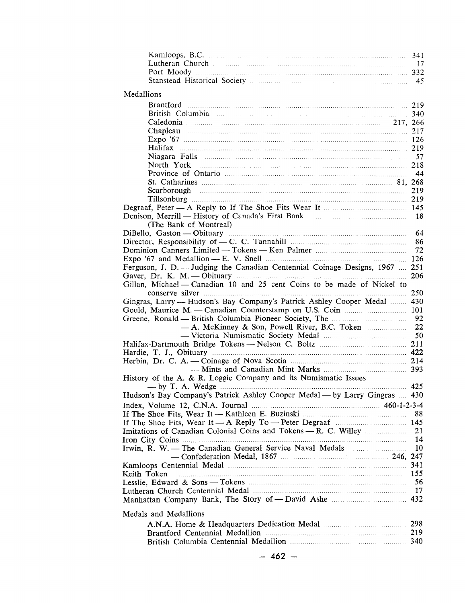| Medallions                                                                                                     |     |
|----------------------------------------------------------------------------------------------------------------|-----|
|                                                                                                                |     |
|                                                                                                                |     |
|                                                                                                                |     |
|                                                                                                                |     |
| Chapleau 217                                                                                                   |     |
|                                                                                                                |     |
|                                                                                                                |     |
|                                                                                                                |     |
|                                                                                                                |     |
|                                                                                                                |     |
|                                                                                                                |     |
|                                                                                                                |     |
|                                                                                                                |     |
|                                                                                                                |     |
|                                                                                                                |     |
| (The Bank of Montreal)                                                                                         |     |
| DiBello, Gaston — Obituary manufactured and the set of the SA and SA and SA and SA and SA and SA and SA and SA |     |
|                                                                                                                |     |
|                                                                                                                |     |
|                                                                                                                |     |
| Ferguson, J. D. --- Judging the Canadian Centennial Coinage Designs, 1967  251                                 |     |
|                                                                                                                | 206 |
| Gillan, Michael - Canadian 10 and 25 cent Coins to be made of Nickel to                                        |     |
|                                                                                                                |     |
| Gingras, Larry — Hudson's Bay Company's Patrick Ashley Cooper Medal  430                                       |     |
|                                                                                                                |     |
|                                                                                                                |     |
|                                                                                                                |     |
|                                                                                                                |     |
|                                                                                                                |     |
|                                                                                                                |     |
|                                                                                                                |     |
|                                                                                                                |     |
| History of the A. & R. Loggie Company and its Numismatic Issues                                                |     |
|                                                                                                                |     |
| Hudson's Bay Company's Patrick Ashley Cooper Medal — by Larry Gingras  430                                     |     |
|                                                                                                                |     |
|                                                                                                                | 88  |
|                                                                                                                |     |
|                                                                                                                |     |
|                                                                                                                | 14  |
|                                                                                                                | 10  |
|                                                                                                                |     |
|                                                                                                                |     |
| Keith Token                                                                                                    | 155 |
|                                                                                                                | 56  |
|                                                                                                                | -17 |
|                                                                                                                |     |
|                                                                                                                |     |
| Medals and Medallions                                                                                          |     |
|                                                                                                                |     |
|                                                                                                                |     |
|                                                                                                                |     |
|                                                                                                                |     |
| — 462 —                                                                                                        |     |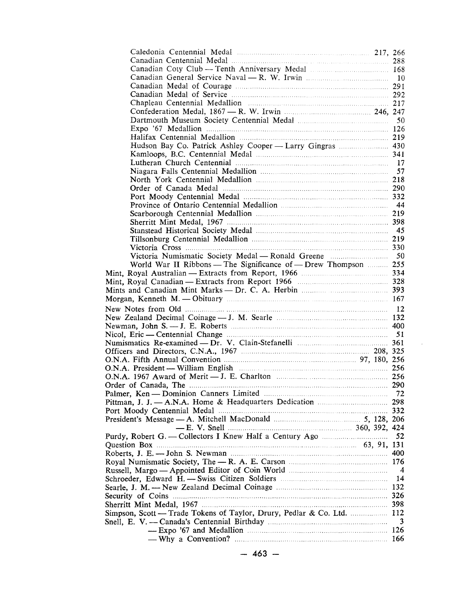| Chapleau Centennial Medallion manufactured and 217                                    |    |
|---------------------------------------------------------------------------------------|----|
| Confederation Medal, 1867 – R. W. Irwin <b>matures</b> 246, 247                       |    |
|                                                                                       |    |
|                                                                                       |    |
|                                                                                       |    |
|                                                                                       |    |
| Hudson Bay Co. Patrick Ashley Cooper - Larry Gingras  430                             |    |
|                                                                                       |    |
|                                                                                       |    |
|                                                                                       |    |
|                                                                                       |    |
|                                                                                       |    |
|                                                                                       |    |
|                                                                                       |    |
|                                                                                       |    |
|                                                                                       |    |
|                                                                                       |    |
|                                                                                       |    |
|                                                                                       |    |
|                                                                                       |    |
|                                                                                       |    |
| World War II Ribbons — The Significance of — Drew Thompson  255                       |    |
|                                                                                       |    |
|                                                                                       |    |
|                                                                                       |    |
|                                                                                       |    |
|                                                                                       |    |
|                                                                                       |    |
|                                                                                       |    |
|                                                                                       |    |
|                                                                                       |    |
|                                                                                       |    |
|                                                                                       |    |
|                                                                                       |    |
| O.N.A. President — William English <b>music contained</b> and the contract of the 256 |    |
|                                                                                       |    |
|                                                                                       |    |
|                                                                                       |    |
|                                                                                       |    |
|                                                                                       |    |
|                                                                                       |    |
|                                                                                       |    |
|                                                                                       | 52 |
|                                                                                       |    |
|                                                                                       |    |
|                                                                                       |    |
|                                                                                       |    |
|                                                                                       |    |
|                                                                                       |    |
|                                                                                       |    |
|                                                                                       |    |
|                                                                                       |    |
| Simpson, Scott — Trade Tokens of Taylor, Drury, Pedlar & Co. Ltd.  112                |    |
|                                                                                       | 3  |
|                                                                                       |    |
|                                                                                       |    |
|                                                                                       |    |

 $\bar{z}$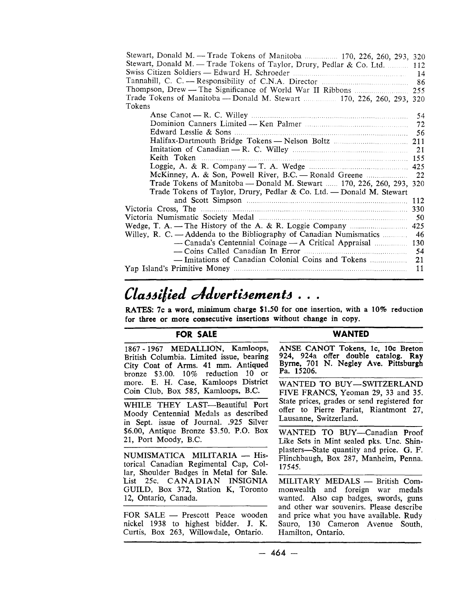| Stewart, Donald M. - Trade Tokens of Manitoba  170, 226, 260, 293, 320     |     |
|----------------------------------------------------------------------------|-----|
| Stewart, Donald M. - Trade Tokens of Taylor, Drury, Pedlar & Co. Ltd.  112 |     |
|                                                                            |     |
|                                                                            |     |
|                                                                            |     |
| Trade Tokens of Manitoba - Donald M. Stewart  170, 226, 260, 293, 320      |     |
| Tokens                                                                     |     |
|                                                                            |     |
|                                                                            |     |
|                                                                            |     |
|                                                                            |     |
|                                                                            |     |
|                                                                            |     |
|                                                                            |     |
|                                                                            |     |
| Trade Tokens of Manitoba — Donald M. Stewart  170, 226, 260, 293, 320      |     |
| Trade Tokens of Taylor, Drury, Pedlar & Co. Ltd. — Donald M. Stewart       |     |
|                                                                            |     |
|                                                                            |     |
|                                                                            | -50 |
|                                                                            | 425 |
|                                                                            |     |
|                                                                            |     |
|                                                                            |     |
|                                                                            |     |
|                                                                            |     |
|                                                                            |     |

## Classified Advertisements...

RATES: 7c a word, minimum charge  $$1.50$  for one insertion, with a 10% reduction for three or more consecutive insertions without change in copy.

#### **FOR SALE**

#### **WANTED**

1867 -1967 MEDALLION, Kamloops, British Columbia. Limited issue, bearing City Coat of Arms. 41 mm. Antiqued bronze \$3.00. 10% reduction 10 or more. E. H. Case, Kamloops District Coin Club, Box 585, Kamloops, B.C.

WHILE THEY LAST-Beautiful Port Moody Centennial Medals as described in Sept. issue of Journal. .925 Silver \$6.00, Antique Bronze \$3.50. P.O. Box 21, Port Moody, B.C.

NUMISMATICA MILITARIA - Historical Canadian Regimental Cap, Collar, Shoulder Badges in Metal for Sale. List 25c. CANADIAN INSIGNIA GUILD, Box 372, Station K, Toronto 12, Ontario, Canada.

FOR SALE - Prescott Peace wooden nickel 1938 to highest bidder. J. K. Curtis, Box 263, Willowdale, Ontario.

ANSE CANOT Tokens, lc, 10c Breton 924, 924a offer double catalog. Ray Byrne, 701 N. Negley Ave. Pittsburgh Pa. 15206.

WANTED TO BUY-SWITZERLAND FIVE FRANCS, Yeoman 29, 33 and 35. State prices, grades or send registered for offer to Pierre Pariat, Riantmont 27, Lausanne, Switzerland.

WANTED TO BUY-Canadian Proof Like Sets in Mint sealed pks. Unc. Shinplasters-State quantity and price. G. F. Flinchbaugh, Box 287, Manheim, Penna. 17545.

MILITARY MEDALS - British Commonwealth and foreign war medals wanted. Also cap badges, swords, guns and other war souvenirs. Please describe and price what you have available. Rudy Sauro, 130 Cameron Avenue South, Hamilton, Ontario.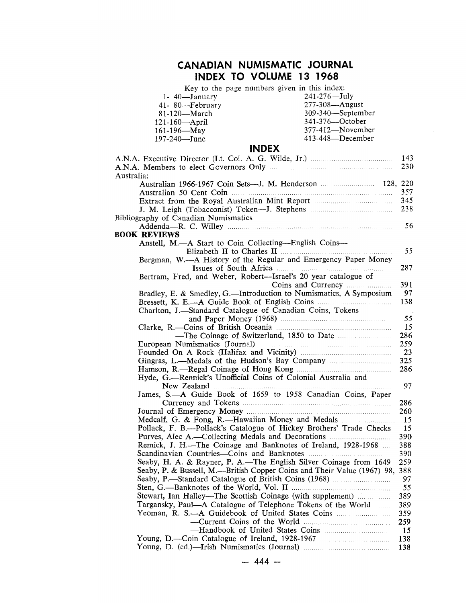## **CANADIAN NUMISMATIC JOURNAL INDEX TO VOLUME 13 1968**

Key to the page numbers given in this index:

| 1- 40-January                                                               | 241-276-July      |      |
|-----------------------------------------------------------------------------|-------------------|------|
| 41-80-February                                                              | 277-308-August    |      |
| 81-120-March                                                                | 309-340-September |      |
| 121-160-April                                                               | 341-376-October   |      |
| 161-196-May                                                                 | 377-412-November  |      |
| 197-240-June                                                                | 413-448-December  |      |
| <b>INDEX</b>                                                                |                   |      |
|                                                                             |                   | 143  |
|                                                                             |                   | 230  |
| Australia:                                                                  |                   |      |
|                                                                             |                   |      |
|                                                                             |                   | 357  |
|                                                                             |                   | 345  |
|                                                                             |                   | 238  |
|                                                                             |                   |      |
| Bibliography of Canadian Numismatics                                        |                   |      |
|                                                                             |                   | 56   |
| <b>BOOK REVIEWS</b>                                                         |                   |      |
| Anstell, M.--A Start to Coin Collecting--English Coins--                    |                   |      |
|                                                                             |                   | 55   |
| Bergman, W.—A History of the Regular and Emergency Paper Money              |                   |      |
|                                                                             |                   | 287  |
| Bertram, Fred, and Weber, Robert--Israel's 20 year catalogue of             |                   |      |
|                                                                             |                   | 391  |
| Bradley, E. & Smedley, G.-Introduction to Numismatics, A Symposium          |                   | 97   |
|                                                                             |                   | 138  |
| Charlton, J.-Standard Catalogue of Canadian Coins, Tokens                   |                   |      |
|                                                                             |                   | 55   |
|                                                                             |                   | 15   |
|                                                                             |                   | 286  |
|                                                                             |                   | 259  |
|                                                                             |                   | 23   |
|                                                                             |                   | 325  |
|                                                                             |                   | 286  |
| Hyde, G.-Rennick's Unofficial Coins of Colonial Australia and               |                   |      |
|                                                                             |                   | 97   |
| James, S.-A Guide Book of 1659 to 1958 Canadian Coins, Paper                |                   |      |
|                                                                             |                   | 286  |
|                                                                             |                   | 260  |
| Medcalf, G. & Fong, R.—Hawaiian Money and Medals                            |                   | 15   |
| Pollack, F. B.---Pollack's Catalogue of Hickey Brothers' Trade Checks       |                   | 15   |
| Purves, Alec A.—Collecting Medals and Decorations                           |                   | 390. |
| Remick, J. H.-The Coinage and Banknotes of Ireland, 1928-1968               |                   | 388  |
|                                                                             |                   | 390  |
| Seaby, H. A. & Rayner, P. A.—The English Silver Coinage from 1649           |                   | 259  |
| Seaby, P. & Bussell, M.—British Copper Coins and Their Value (1967) 98, 388 |                   |      |
| Seaby, P.—Standard Catalogue of British Coins (1968)                        |                   | 97   |
|                                                                             |                   | 55   |
| Stewart, Ian Halley—The Scottish Coinage (with supplement)                  |                   | 389  |
| Targansky, Paul—A Catalogue of Telephone Tokens of the World                |                   | 389  |
|                                                                             |                   | 359  |
|                                                                             |                   | 259  |
|                                                                             |                   | 15   |
| Young, D.-Coin Catalogue of Ireland, 1928-1967                              |                   | 138  |
|                                                                             |                   | 138  |
|                                                                             |                   |      |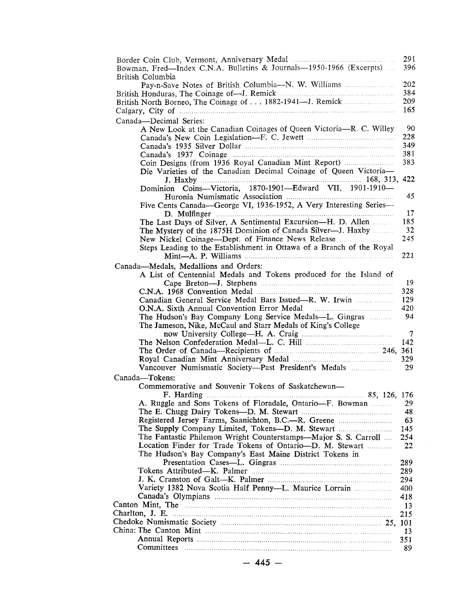|                                                                                                                                                                                                                                      | 291           |
|--------------------------------------------------------------------------------------------------------------------------------------------------------------------------------------------------------------------------------------|---------------|
| Bowman, Fred-Index C.N.A. Bulletins & Journals-1950-1966 (Excerpts)                                                                                                                                                                  | 396           |
| British Columbia<br>Pay-n-Save Notes of British Columbia-N. W. Williams                                                                                                                                                              | 202           |
|                                                                                                                                                                                                                                      | 384           |
|                                                                                                                                                                                                                                      | 209           |
| Calgary, City of manufactured and contact the control of the control of the control of the control of the control of the control of the control of the control of the control of the control of the control of the control of        | 165           |
| Canada-Decimal Series:                                                                                                                                                                                                               |               |
| A New Look at the Canadian Coinages of Queen Victoria-R. C. Willey                                                                                                                                                                   | 90<br>228     |
|                                                                                                                                                                                                                                      | 349           |
|                                                                                                                                                                                                                                      | 381           |
| Coin Designs (from 1936 Royal Canadian Mint Report)                                                                                                                                                                                  | 383           |
| Die Varieties of the Canadian Decimal Coinage of Queen Victoria-                                                                                                                                                                     |               |
| Dominion Coins--Victoria, 1870-1901--Edward VII, 1901-1910-                                                                                                                                                                          |               |
|                                                                                                                                                                                                                                      | 45            |
| Five Cents Canada-George VI, 1936-1952, A Very Interesting Series-                                                                                                                                                                   |               |
|                                                                                                                                                                                                                                      | 17            |
| The Last Days of Silver, A Sentimental Excursion-H. D. Allen                                                                                                                                                                         | 185           |
| The Mystery of the 1875H Dominion of Canada Silver---J. Haxby                                                                                                                                                                        | 32<br>245     |
| Steps Leading to the Establishment in Ottawa of a Branch of the Royal                                                                                                                                                                |               |
|                                                                                                                                                                                                                                      | 221           |
| Canada-Medals, Medallions and Orders:                                                                                                                                                                                                |               |
| A List of Centennial Medals and Tokens produced for the Island of                                                                                                                                                                    |               |
|                                                                                                                                                                                                                                      | 19<br>328     |
|                                                                                                                                                                                                                                      | 129           |
| O.N.A. Sixth Annual Convention Error Medal <b>Matter Strategier</b> A.                                                                                                                                                               | 420.          |
| The Hudson's Bay Company Long Service Medals-L. Gingras                                                                                                                                                                              | 94            |
| The Jameson, Nike, McCaul and Starr Medals of King's College                                                                                                                                                                         |               |
|                                                                                                                                                                                                                                      | $\tau$<br>142 |
|                                                                                                                                                                                                                                      |               |
|                                                                                                                                                                                                                                      | 329           |
| Vancouver Numismatic Society-Past President's Medals                                                                                                                                                                                 | 29            |
| Canada-Tokens:                                                                                                                                                                                                                       |               |
| Commemorative and Souvenir Tokens of Saskatchewan-                                                                                                                                                                                   |               |
| F. Harding<br>A. Ruggle and Sons Tokens of Floradale, Ontario-F. Bowman                                                                                                                                                              | 29            |
|                                                                                                                                                                                                                                      | 48            |
| Registered Jersey Farms, Saanichton, B.C.--R. Greene                                                                                                                                                                                 | 63            |
|                                                                                                                                                                                                                                      | 145           |
| The Fantastic Philemon Wright Counterstamps—Major S. S. Carroll<br>Location Finder for Trade Tokens of Ontario-D. M. Stewart                                                                                                         | 254<br>22     |
| The Hudson's Bay Company's East Maine District Tokens in                                                                                                                                                                             |               |
|                                                                                                                                                                                                                                      | 289           |
|                                                                                                                                                                                                                                      | 289           |
|                                                                                                                                                                                                                                      | 294           |
| Variety 1382 Nova Scotia Half Penny-L. Maurice Lorrain<br>Canada's Olympians                                                                                                                                                         | 400<br>418    |
| Canton Mint, The <b>Election Contract Contract Contract Contract Contract Contract Contract Contract Contract Contract Contract Contract Contract Contract Contract Contract Contract Contract Contract Contract Contract Contra</b> | 13            |
|                                                                                                                                                                                                                                      | 215           |
|                                                                                                                                                                                                                                      |               |
|                                                                                                                                                                                                                                      | 13            |
|                                                                                                                                                                                                                                      | 351<br>89     |
|                                                                                                                                                                                                                                      |               |
| $-445-$                                                                                                                                                                                                                              |               |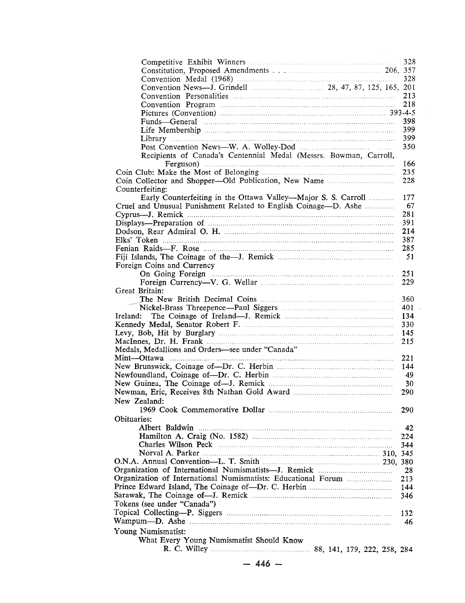|                                                                   | 328  |
|-------------------------------------------------------------------|------|
|                                                                   |      |
|                                                                   | 328  |
|                                                                   |      |
|                                                                   | 213  |
|                                                                   | 218  |
|                                                                   |      |
|                                                                   | 398  |
|                                                                   | 399  |
|                                                                   | 399  |
|                                                                   | 350  |
|                                                                   |      |
| Recipients of Canada's Centennial Medal (Messrs. Bowman, Carroll, |      |
|                                                                   | 166  |
|                                                                   | 235  |
|                                                                   | 228  |
| Counterfeiting:                                                   |      |
| Early Counterfeiting in the Ottawa Valley—Major S. S. Carroll     | 177  |
| Cruel and Unusual Punishment Related to English Coinage—D. Ashe   | 67   |
|                                                                   | 281  |
|                                                                   | 391  |
|                                                                   | 214  |
|                                                                   | 387  |
|                                                                   | 285  |
|                                                                   | 51   |
| Foreign Coins and Currency                                        |      |
| On Going Foreign                                                  | 251  |
|                                                                   | 229  |
| Great Britain:                                                    |      |
|                                                                   | 360  |
|                                                                   | 401  |
| Ireland:                                                          | 134  |
|                                                                   | 330  |
|                                                                   | 145  |
|                                                                   | 215  |
| Medals, Medallions and Orders-see under "Canada"                  |      |
|                                                                   |      |
|                                                                   | 221  |
|                                                                   | 144  |
|                                                                   | - 49 |
|                                                                   | 30   |
|                                                                   | 290  |
| New Zealand:                                                      |      |
|                                                                   | 290  |
| Obituaries:                                                       |      |
| Albert Baldwin                                                    | 42   |
|                                                                   | 224  |
|                                                                   | 344  |
|                                                                   |      |
|                                                                   |      |
|                                                                   | 28   |
|                                                                   | 213  |
|                                                                   | 144  |
|                                                                   | 346  |
| Tokens (see under "Canada")                                       |      |
|                                                                   |      |
|                                                                   | 132  |
|                                                                   | 46   |
| Young Numismatist:                                                |      |
| What Every Young Numismatist Should Know                          |      |
|                                                                   |      |
|                                                                   |      |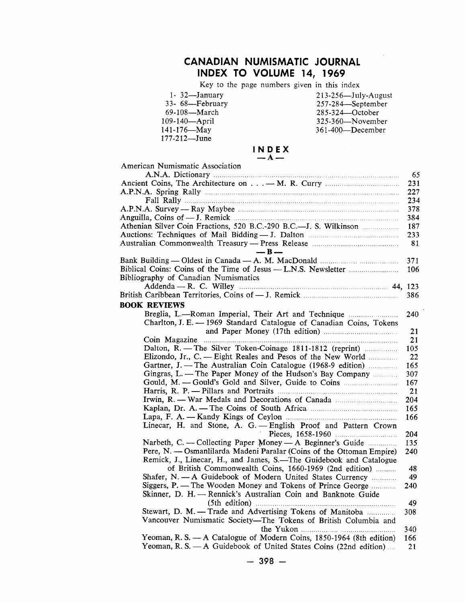## **CANADIAN NUMISMATIC JOURNAL INDEX TO VOLUME 14, 1969**

Key to the page numbers given in this index

- 141-176-May<br>177-212-June
- 1- 32—January 213-256—July-August 33- 68—February 257-284—September 69-108—March 285-324—October 109-140—April 325-360—November 361-400-December

| INDEX   |  |  |
|---------|--|--|
| $- A -$ |  |  |

| American Numismatic Association                                      |     |
|----------------------------------------------------------------------|-----|
|                                                                      | 65  |
|                                                                      | 231 |
|                                                                      | 227 |
|                                                                      | 234 |
|                                                                      | 378 |
|                                                                      | 384 |
| Athenian Silver Coin Fractions, 520 B.C.-290 B.C.---J. S. Wilkinson  | 187 |
|                                                                      | 233 |
|                                                                      | 81  |
| $-B-$                                                                |     |
|                                                                      | 371 |
|                                                                      | 106 |
|                                                                      |     |
| Bibliography of Canadian Numismatics                                 |     |
| Addenda — R. C. Willey <b>Election</b> 24, 123                       |     |
|                                                                      | 386 |
| <b>BOOK REVIEWS</b>                                                  |     |
| Breglia, L.-Roman Imperial, Their Art and Technique                  | 240 |
| Charlton, J. E. - 1969 Standard Catalogue of Canadian Coins, Tokens  |     |
|                                                                      | 21  |
|                                                                      | 21  |
| Dalton, R. - The Silver Token-Coinage 1811-1812 (reprint)            | 105 |
| Elizondo, Jr., C. -- Eight Reales and Pesos of the New World         | 22  |
| Gartner, J. — The Australian Coin Catalogue (1968-9 edition)         | 165 |
| Gingras, L. - The Paper Money of the Hudson's Bay Company            | 307 |
| Gould, M. - Gould's Gold and Silver, Guide to Coins                  | 167 |
|                                                                      | 21  |
| Irwin, R. - War Medals and Decorations of Canada                     | 204 |
|                                                                      | 165 |
|                                                                      | 166 |
| Linecar, H. and Stone, A. G. - English Proof and Pattern Crown       |     |
|                                                                      | 204 |
| Narbeth, C. - Collecting Paper Money - A Beginner's Guide            | 135 |
| Pere, N. — Osmanlilarda Madeni Paralar (Coins of the Ottoman Empire) | 240 |
| Remick, J., Linecar, H., and James, S.—The Guidebook and Catalogue   |     |
| of British Commonwealth Coins, 1660-1969 (2nd edition)               | 48  |
| Shafer, N. - A Guidebook of Modern United States Currency            | 49  |
| Siggers, P. - The Wooden Money and Tokens of Prince George           | 240 |
| Skinner, D. H. - Rennick's Australian Coin and Banknote Guide        |     |
|                                                                      |     |
|                                                                      | 49  |
| Stewart, D. M. - Trade and Advertising Tokens of Manitoba            | 308 |
| Vancouver Numismatic Society-The Tokens of British Columbia and      |     |
|                                                                      | 340 |
| Yeoman, R. S. - A Catalogue of Modern Coins, 1850-1964 (8th edition) | 166 |
| Yeoman, R. S. - A Guidebook of United States Coins (22nd edition)    | 21  |
|                                                                      |     |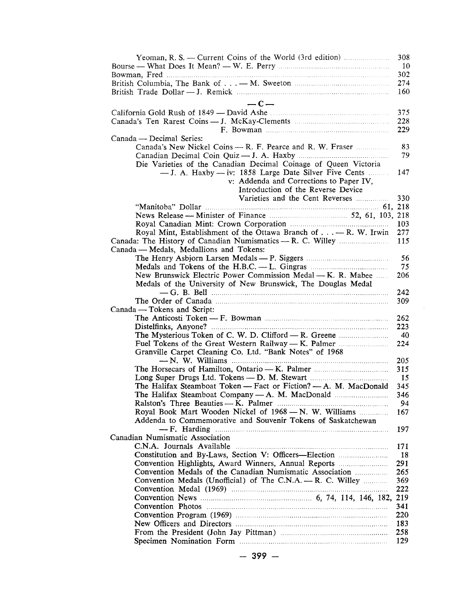| Yeoman, R. S. -- Current Coins of the World (3rd edition)                | 308 |
|--------------------------------------------------------------------------|-----|
|                                                                          | 10  |
|                                                                          | 302 |
|                                                                          | 274 |
|                                                                          | 160 |
| $-c-$                                                                    |     |
|                                                                          | 375 |
|                                                                          | 228 |
|                                                                          | 229 |
| Canada — Decimal Series:                                                 |     |
|                                                                          | 83  |
|                                                                          | 79  |
| Die Varieties of the Canadian Decimal Coinage of Queen Victoria          |     |
| $-$ J. A. Haxby $-$ iv: 1858 Large Date Silver Five Cents                | 147 |
| v: Addenda and Corrections to Paper IV,                                  |     |
| Introduction of the Reverse Device                                       |     |
| Varieties and the Cent Reverses                                          | 330 |
|                                                                          |     |
|                                                                          |     |
|                                                                          | 103 |
| Royal Mint, Establishment of the Ottawa Branch of $\dots - R$ . W. Irwin | 277 |
|                                                                          | 115 |
| Canada — Medals, Medallions and Tokens:                                  |     |
|                                                                          | 56  |
|                                                                          | 75  |
| New Brunswick Electric Power Commission Medal — K. R. Mabee              | 206 |
| Medals of the University of New Brunswick, The Douglas Medal             |     |
|                                                                          | 242 |
|                                                                          | 309 |
| Canada — Tokens and Script:                                              |     |
|                                                                          | 262 |
|                                                                          | 223 |
|                                                                          | 40  |
|                                                                          | 224 |
| Granville Carpet Cleaning Co. Ltd. "Bank Notes" of 1968                  |     |
|                                                                          | 205 |
|                                                                          | 315 |
|                                                                          | -15 |
| The Halifax Steamboat Token - Fact or Fiction? - A. M. MacDonald         | 345 |
|                                                                          | 346 |
|                                                                          | 94  |
| Royal Book Mart Wooden Nickel of 1968 - N. W. Williams                   | 167 |
| Addenda to Commemorative and Souvenir Tokens of Saskatchewan             |     |
|                                                                          | 197 |
| Canadian Numismatic Association                                          |     |
| C.N.A. Journals Available                                                | 171 |
|                                                                          | 18  |
|                                                                          | 291 |
|                                                                          | 265 |
| Convention Medals (Unofficial) of The C.N.A. - R. C. Willey              | 369 |
|                                                                          | 222 |
|                                                                          |     |
|                                                                          | 341 |
|                                                                          | 220 |
|                                                                          | 183 |
|                                                                          | 258 |
|                                                                          | 129 |
|                                                                          |     |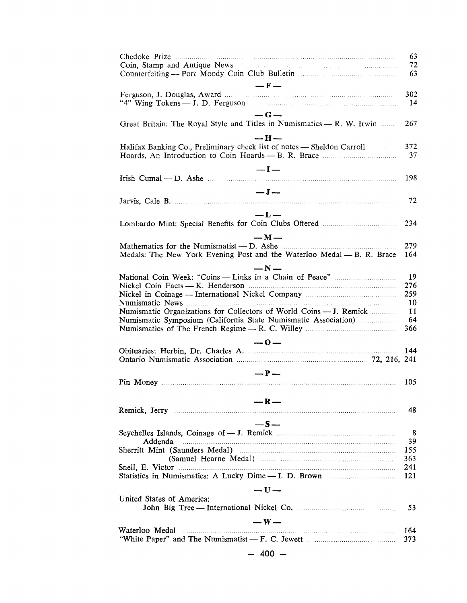|                                                                                                                                                                                                                                        | 63<br>72<br>63 |
|----------------------------------------------------------------------------------------------------------------------------------------------------------------------------------------------------------------------------------------|----------------|
| $- F -$                                                                                                                                                                                                                                |                |
|                                                                                                                                                                                                                                        | 302<br>14      |
| $-G-$<br>Great Britain: The Royal Style and Titles in Numismatics - R. W. Irwin                                                                                                                                                        | 267            |
| — H —<br>Halifax Banking Co., Preliminary check list of notes - Sheldon Carroll                                                                                                                                                        | 372            |
|                                                                                                                                                                                                                                        | 37             |
| $-I-$<br>Irish Cumal — D. Ashe manufactured and the contract of the Cumal of the Cumal and the Cumal of the Cumal of the Cumal of the Cumal of the Cumal of the Cumal of the Cumal of the Cumal of the Cumal of the Cumal of the Cumal | 198            |
| $-J-$                                                                                                                                                                                                                                  | 72             |
|                                                                                                                                                                                                                                        |                |
| $-L-$                                                                                                                                                                                                                                  | 234            |
| $-M-$                                                                                                                                                                                                                                  |                |
| Medals: The New York Evening Post and the Waterloo Medal - B. R. Brace                                                                                                                                                                 | 279<br>164     |
| $-N-$                                                                                                                                                                                                                                  |                |
|                                                                                                                                                                                                                                        | 19             |
|                                                                                                                                                                                                                                        | 276            |
|                                                                                                                                                                                                                                        | 259            |
|                                                                                                                                                                                                                                        | 10             |
| Numismatic Organizations for Collectors of World Coins — J. Remick<br>Numismatic Symposium (California State Numismatic Association)                                                                                                   | 11<br>64       |
|                                                                                                                                                                                                                                        | 366            |
|                                                                                                                                                                                                                                        |                |
| $-0-$<br>Ontario Numismatic Association manufactured and the 72, 216, 241                                                                                                                                                              | 144            |
|                                                                                                                                                                                                                                        |                |
| $-P-$                                                                                                                                                                                                                                  | 105            |
|                                                                                                                                                                                                                                        |                |
| $-R-$                                                                                                                                                                                                                                  |                |
|                                                                                                                                                                                                                                        | 48             |
| $-S-$                                                                                                                                                                                                                                  |                |
|                                                                                                                                                                                                                                        | 8              |
| Addenda<br>Sherritt Mint (Saunders Medal) manufactured and the Sherritt Mint (Saunders Medal)                                                                                                                                          | 39<br>155      |
|                                                                                                                                                                                                                                        | 363            |
|                                                                                                                                                                                                                                        | 241            |
|                                                                                                                                                                                                                                        | 121            |
| $-U-$                                                                                                                                                                                                                                  |                |
| United States of America:                                                                                                                                                                                                              | 53             |
|                                                                                                                                                                                                                                        |                |
| $-W-$                                                                                                                                                                                                                                  |                |
| Waterloo Medal                                                                                                                                                                                                                         | 164<br>373     |
| $-400 -$                                                                                                                                                                                                                               |                |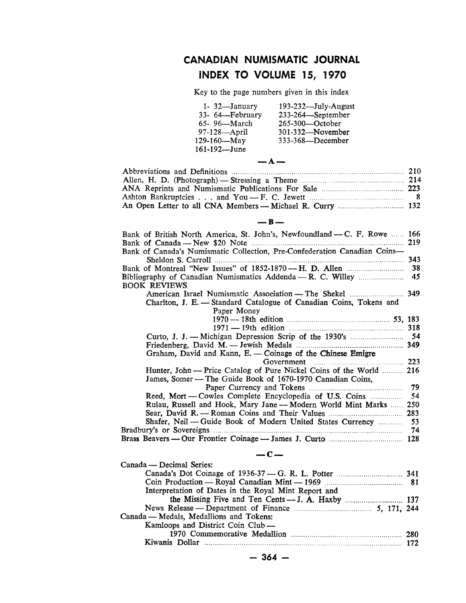## CANADIAN NUMISMATIC JOURNAL INDEX TO VOLUME 15, 1970

Key to the page numbers given in this index

| $1 - 32$ —January | 193-232-July-August |
|-------------------|---------------------|
| 33- 64-February   | 233-264-September   |
| 65-96-March       | 265-300-October     |
| $97-128$ —April   | 301-332-November    |
| 129-160-May       | 333-368-December    |
| 161-192—June      |                     |

| $\rightarrow$ A $\rightarrow$ |  |
|-------------------------------|--|
|                               |  |
|                               |  |
|                               |  |
|                               |  |
|                               |  |

#### $-$ B $-$

| Bank of British North America, St. John's, Newfoundland - C. F. Rowe  166                                                         |      |
|-----------------------------------------------------------------------------------------------------------------------------------|------|
| . 219                                                                                                                             |      |
| Bank of Canada's Numismatic Collection, Pre-Confederation Canadian Coins-<br>Sheldon S. Carroll                                   | 343  |
|                                                                                                                                   | 38   |
| Bibliography of Canadian Numismatics Addenda — R. C. Willey                                                                       | 45   |
| <b>BOOK REVIEWS</b>                                                                                                               |      |
|                                                                                                                                   |      |
| Charlton, J. E. — Standard Catalogue of Canadian Coins, Tokens and                                                                |      |
| Paper Money                                                                                                                       |      |
|                                                                                                                                   |      |
|                                                                                                                                   |      |
|                                                                                                                                   |      |
|                                                                                                                                   |      |
| Graham, David and Kann, E. - Coinage of the Chinese Emigre                                                                        |      |
|                                                                                                                                   |      |
| Hunter, John — Price Catalog of Pure Nickel Coins of the World  216<br>James, Somer — The Guide Book of 1670-1970 Canadian Coins, |      |
| Paper Currency and Tokens                                                                                                         | 79   |
| Reed, Mort — Cowles Complete Encyclopedia of U.S. Coins                                                                           | - 54 |
| Rulau, Russell and Hook, Mary Jane — Modern World Mint Marks  250                                                                 |      |
|                                                                                                                                   | 283  |
| Shafer, Neil - Guide Book of Modern United States Currency  53                                                                    |      |
|                                                                                                                                   |      |
|                                                                                                                                   |      |
| $-c-$                                                                                                                             |      |
| Canada — Decimal Series:                                                                                                          |      |

| Interpretation of Dates in the Royal Mint Report and    |  |
|---------------------------------------------------------|--|
|                                                         |  |
| News Release — Department of Finance <b>Manual</b> 1944 |  |
| Canada — Medals, Medallions and Tokens:                 |  |
| Kamloops and District Coin Club —                       |  |
|                                                         |  |
|                                                         |  |
|                                                         |  |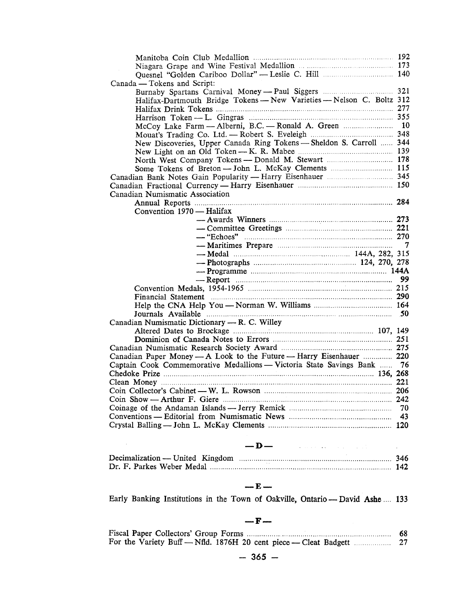| Quesnel "Golden Cariboo Dollar" - Leslie C. Hill  140                                                                                                                                                                          |  |
|--------------------------------------------------------------------------------------------------------------------------------------------------------------------------------------------------------------------------------|--|
| Canada — Tokens and Script:                                                                                                                                                                                                    |  |
|                                                                                                                                                                                                                                |  |
| Halifax-Dartmouth Bridge Tokens - New Varieties - Nelson C. Boltz 312                                                                                                                                                          |  |
|                                                                                                                                                                                                                                |  |
|                                                                                                                                                                                                                                |  |
| McCoy Lake Farm - Alberni, B.C. - Ronald A. Green  10                                                                                                                                                                          |  |
|                                                                                                                                                                                                                                |  |
| New Discoveries, Upper Canada Ring Tokens - Sheldon S. Carroll  344                                                                                                                                                            |  |
|                                                                                                                                                                                                                                |  |
| North West Company Tokens -- Donald M. Stewart  178                                                                                                                                                                            |  |
| Some Tokens of Breton - John L. McKay Clements  115                                                                                                                                                                            |  |
|                                                                                                                                                                                                                                |  |
|                                                                                                                                                                                                                                |  |
| Canadian Numismatic Association                                                                                                                                                                                                |  |
|                                                                                                                                                                                                                                |  |
| Convention 1970 - Halifax                                                                                                                                                                                                      |  |
|                                                                                                                                                                                                                                |  |
|                                                                                                                                                                                                                                |  |
|                                                                                                                                                                                                                                |  |
|                                                                                                                                                                                                                                |  |
|                                                                                                                                                                                                                                |  |
|                                                                                                                                                                                                                                |  |
|                                                                                                                                                                                                                                |  |
|                                                                                                                                                                                                                                |  |
|                                                                                                                                                                                                                                |  |
| Financial Statement Material Communications and the contract of the contract of the contract of the contract of the contract of the contract of the contract of the contract of the contract of the contract of the contract o |  |
|                                                                                                                                                                                                                                |  |
|                                                                                                                                                                                                                                |  |
| Canadian Numismatic Dictionary — R. C. Willey                                                                                                                                                                                  |  |
|                                                                                                                                                                                                                                |  |
|                                                                                                                                                                                                                                |  |
|                                                                                                                                                                                                                                |  |
| Canadian Paper Money - A Look to the Future - Harry Eisenhauer  220                                                                                                                                                            |  |
| Captain Cook Commemorative Medallions — Victoria State Savings Bank  76                                                                                                                                                        |  |
|                                                                                                                                                                                                                                |  |
|                                                                                                                                                                                                                                |  |
|                                                                                                                                                                                                                                |  |
|                                                                                                                                                                                                                                |  |
|                                                                                                                                                                                                                                |  |
|                                                                                                                                                                                                                                |  |
|                                                                                                                                                                                                                                |  |
|                                                                                                                                                                                                                                |  |

## $\longrightarrow$  D  $\longrightarrow$  . The contract of the set of the set of the  $\mathcal{O}$

 $\sim 10^{11}$  km s  $^{-1}$ 

## $-**E**$

Early Banking Institutions in the Town of Oakville, Ontario - David Ashe.... 133

#### $-F-$

| 68 |
|----|
|    |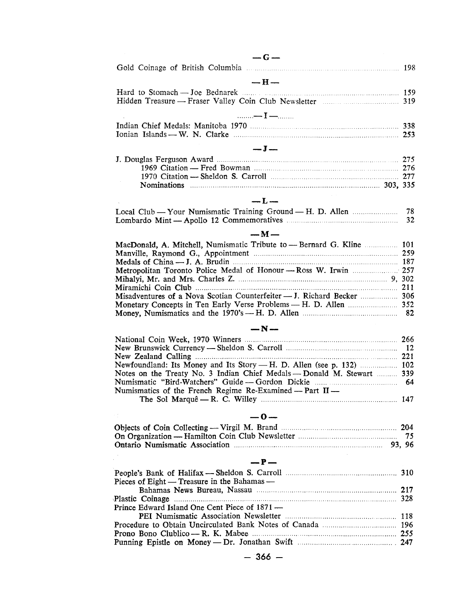| $-G =$                                              |    |
|-----------------------------------------------------|----|
|                                                     |    |
| $- H -$                                             |    |
| Hard to Stomach — Joe Bednarek <b> 159</b>          |    |
|                                                     |    |
| $\ldots \ldots \longrightarrow I \longrightarrow I$ |    |
|                                                     |    |
|                                                     |    |
| $-I -$                                              |    |
|                                                     |    |
|                                                     |    |
|                                                     |    |
|                                                     |    |
| $-1$                                                |    |
|                                                     |    |
|                                                     | 32 |
| $-M$ $-$                                            |    |

| Misadventures of a Nova Scotian Counterfeiter - J. Richard Becker  306 |  |
|------------------------------------------------------------------------|--|
|                                                                        |  |
|                                                                        |  |

| $-N-$ |  |
|-------|--|

| National Coin Week, 1970 Winners <b>manufacture and Cointing Cointing Cointing Cointing Cointing Cointing Cointing</b> |  |
|------------------------------------------------------------------------------------------------------------------------|--|
|                                                                                                                        |  |
|                                                                                                                        |  |
| Newfoundland: Its Money and Its Story — H. D. Allen (see p. 132)  102                                                  |  |
| Notes on the Treaty No. 3 Indian Chief Medals — Donald M. Stewart  339                                                 |  |
|                                                                                                                        |  |
| Numismatics of the French Regime Re-Examined – Part $II$ –                                                             |  |
|                                                                                                                        |  |

### **-0-**

| Ontario Numismatic Association manufactured and the settlement of the settlement of the settlement of the settlement of the settlement of the settlement of the settlement of the settlement of the settlement of the settleme |  |
|--------------------------------------------------------------------------------------------------------------------------------------------------------------------------------------------------------------------------------|--|

#### $-P-$

| Pieces of Eight — Treasure in the Bahamas —   |  |
|-----------------------------------------------|--|
|                                               |  |
|                                               |  |
| Prince Edward Island One Cent Piece of 1871 — |  |
|                                               |  |
|                                               |  |
|                                               |  |
|                                               |  |